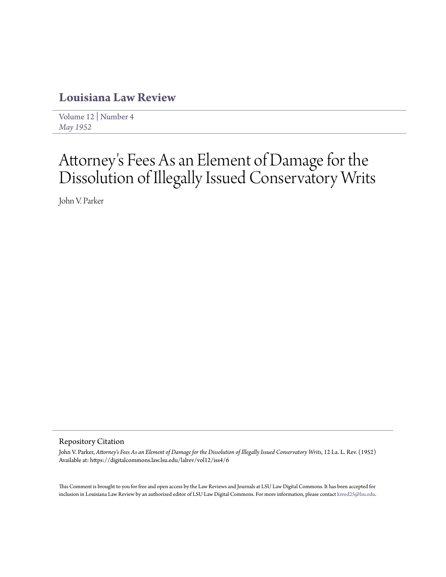# **[Louisiana Law Review](https://digitalcommons.law.lsu.edu/lalrev)**

[Volume 12](https://digitalcommons.law.lsu.edu/lalrev/vol12) | [Number 4](https://digitalcommons.law.lsu.edu/lalrev/vol12/iss4) *[May 1952](https://digitalcommons.law.lsu.edu/lalrev/vol12/iss4)*

# Attorney 's Fees As an Element of Damage for the Dissolution of Illegally Issued Conservatory Writs

John V. Parker

## Repository Citation

John V. Parker, *Attorney's Fees As an Element of Damage for the Dissolution of Illegally Issued Conservatory Writs*, 12 La. L. Rev. (1952) Available at: https://digitalcommons.law.lsu.edu/lalrev/vol12/iss4/6

This Comment is brought to you for free and open access by the Law Reviews and Journals at LSU Law Digital Commons. It has been accepted for inclusion in Louisiana Law Review by an authorized editor of LSU Law Digital Commons. For more information, please contact [kreed25@lsu.edu](mailto:kreed25@lsu.edu).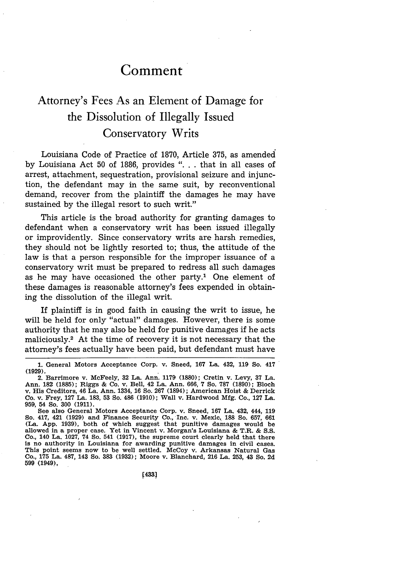# **Comment**

# Attorney's Fees As an Element of Damage for the Dissolution of Illegally Issued Conservatory Writs

Louisiana Code of Practice of 1870, Article 375, as amended by Louisiana Act 50 of 1886, provides ". . that in all cases of arrest, attachment, sequestration, provisional seizure and injunction, the defendant may in the same suit, by reconventional demand, recover from the plaintiff the damages he may have sustained by the illegal resort to such writ."

This article is the broad authority for granting damages to defendant when a conservatory writ has been issued illegally or improvidently. Since conservatory writs are harsh remedies, they should not be lightly resorted to; thus, the attitude of the law is that a person responsible for the improper issuance of a conservatory writ must be prepared to redress all such damages as he may have occasioned the other party.<sup>1</sup> One element of these damages is reasonable attorney's fees expended in obtaining the dissolution of the illegal writ.

If plaintiff is in good faith in causing the writ to issue, he will be held for only "actual" damages. However, there is some authority that he may also be held for punitive damages if he acts maliciously.2 At the time of recovery it is not necessary that the attorney's fees actually have been paid, but defendant must have

2. Barrimore v. McFeely, 32 La. Ann. **1179 (1880);** Cretin v. Levy, 37 La. Ann. **182 (1885);** Riggs & Co. v. Bell, 42 La. Ann. **666,** 7 So. **787 (1890);** Bloch v. His Creditors, 46 La. Ann. 1334, 16 So. **267** (1894); American Hoist & Derrick Co. v. Frey, 127 La. 183, 53 So. 486 (1910); Wall v. Hardwood **Mfg.** Co., **127** La. 959, 54 So. 300 (1911).

See also General Motors Acceptance Corp. v. Sneed, 167 La. 432, 444, 119 So. 417, 421 (1929) and Finance Security Co., Inc. v. Mexic, **188 So.** 657, 661 (La. App. 1939), both of which suggest that punitive damages would be allowed in a proper case. Yet in Vincent v. Morgan's Louisiana & T.R. & **S.S.** Co., 140 La. 1027, 74 So. 541 (1917), the supreme court clearly held that there is no authority in Louisiana for awarding punitive damages in civil cases. This point seems now to be well settled. McCoy v. Arkansas Natural Gas Co., **175** La. 487, 143 So. **383** (1932); Moore v. Blanchard, 216 La. 253, 43 So. 2d **599** (1949),

<sup>1.</sup> General Motors Acceptance Corp. v. Sneed, 167 La. 432, 119 So. 417 **(1929).**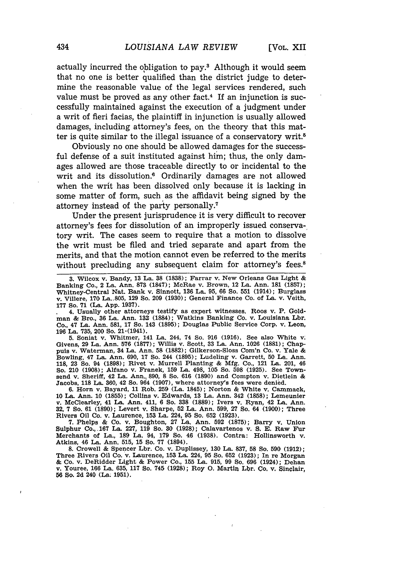actually incurred the obligation to pay.8 Although it would seem that no one is better qualified than the district judge to determine the reasonable value of the legal services rendered, such value must be proved as any other fact.<sup>4</sup> If an injunction is successfully maintained against the execution of a judgment under a writ of fieri facias, the plaintiff in injunction is usually allowed damages, including attorney's fees, on the theory that this matter is quite similar to the illegal issuance of a conservatory writ.<sup>5</sup>

Obviously no one should be allowed damages for the successful defense of a suit instituted against him; thus, the only damages allowed are those traceable directly to or incidental to the writ and its dissolution.<sup>6</sup> Ordinarily damages are not allowed when the writ has been dissolved only because it is lacking in some matter of form, such as the affidavit being signed by the attorney instead of the party personally.<sup>7</sup>

Under the present jurisprudence it is very difficult to recover attorney's fees for dissolution of an improperly issued conservatory writ. The cases seem to require that a motion to dissolve the writ must be filed and tried separate and apart from the merits, and that the motion cannot even be referred to the merits without precluding any subsequent claim for attorney's fees.<sup>8</sup>

**3.** Wilcox v. Bandy, **13** La. **38 (1838);** Farrar v. New Orleans Gas Light & Banking Co., 2 La. Ann. **873 (1847);** McRae v. Brown, 12 La. Ann. **181 (1857);** Whitney-Central Nat. Bank v. Sinnott, **136** La. **95, 66** So. **551** (1914); Burglass v. Villere, **170** La..805, **129** So. **209 (1930);** General Finance Co. of La. v. Veith, **177** So. **71** (La. **App. 1937).**

4. Usually other attorneys testify as expert witnesses. Roos v. P. Goldman **&** Bro., **36** La. Ann. 132 (1884); Watkins Banking Co. v. Louisiana Lbr. Co., 47 La. Ann. **581, 17** So. 143 **(1895);** Douglas Public Service Corp. v. Leon, **196** La. **735,** 200 So. 21.(1941).

**5.** Soniat v. Whitmer, 141 La. 244, 74 So. **916 (1916).** See also White v. Givens, 29 La. Ann. 576 (1877); Willis v. Scott, 33 La. Ann. 1026 (1881); Chap-<br>puis v. Waterman, 34 La. Ann. 58 (1882); Gilkerson-Sloss Com'n Co. v. Yale &<br>Bowling, 47 La. Ann. 690, 17 So. 244 (1895); Ludeling v. Garrett, **118, 23** So. 94 **(1898);** Rivet v. Murrell Planting **& Mfg.** Co., 121 La. 201, 46 So. 210 **(1908);** Alfano v. Franek, **159** La. 498, **105** So. **598 (1925).** See Townsend v. Sheriff, 42 La. Ann., **890,** 8 So. **616 (1890)** and Compton v. Dietlein & Jacobs, **118** La. **360,** 42 So. 964 **(1907),** where attorney's fees were denied.

**6.** Horn v. Bayard, **11** Rob. **259** (La. 1845); Norton & White v. Cammack, **10** La. Ann. **10 (1855);** Collins v. Edwards, **13** La. Ann. 342 **(1858);** Lemeunier v. McClearley, 41 La. Ann. 411, **6** So. **338 (1889);** Ivers v. Ryan, 42 La. Ann. **32, 7** So. **61 (1890);** Levert v. Sharpe, **52** La. Ann. **599, 27** So. 64 **(1900);** Three Rivers Oil Co. v. Laurence, **153** La. 224, **95** So. **652 (1923).**

**7.** Phelps **&** Co. v. Boughton, **27** La. Ann. **592 (1875);** Barry v. Union Sulphur Co.,.167 La. 227, **119** So. **30 (1928);** Calavartenos v. **S. E.** Raw Fur Merchants of La., **189** La. 94, **179** So. 46 **(1938).** Contra: Hollinsworth v. Atkins, 46 La. Ann. **515, 15 So.** 77 (1894).

**8.** Crowell **&** Spencer Lbr. Co. v. Duplissey, **130** La. **837, 58** So. **590** (1912); Three Rivers Oil Co. v. Laurence, **153** La. 224, **95** So. **652 (1923);** In re Morgan **&** Co. v. DeRidder Light **&** Power Co., **155** La. **915, 99** So. **696** (1924); Dehan v. Youree, **166** La. 635, **117** So. 745 (1928); Roy **0.** Martin Lbr. Co, v. Sinclair, **56** So. **2d** 240 (La. **1951).**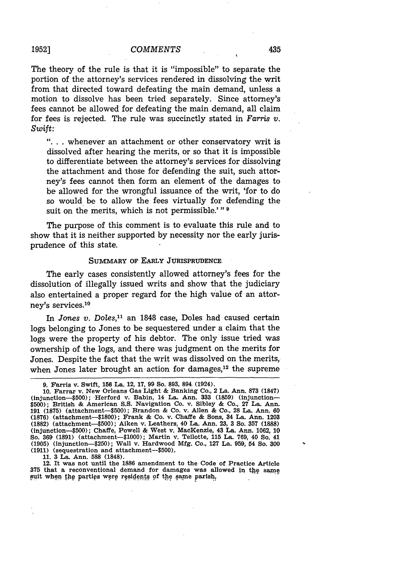### *COMMENTS*

The theory of the rule is that it is "impossible" to separate the portion of the attorney's services rendered in dissolving the writ from that directed toward defeating the main demand, unless a motion to dissolve has been tried separately. Since attorney's fees cannot be allowed for defeating the main demand, all claim for fees is rejected. The rule was succinctly stated in *Farris v. Swift:*

**"..** . whenever an attachment or other conservatory writ is dissolved after hearing the merits, or so that it is impossible to differentiate between the attorney's services for dissolving the attachment and those for defending the suit, such attorney's fees cannot then form an element of the damages to be allowed for the wrongful issuance of the writ, 'for to do so would be to allow the fees virtually for defending the suit on the merits, which is not permissible.' **"9**

The purpose of this comment is to evaluate this rule and to show that it is neither supported by necessity nor the early jurisprudence of this state.

### SUMMARY OF EARLY **JURISPRUDENCE**

The early cases consistently allowed attorney's fees for the dissolution of illegally issued writs and show that the judiciary also entertained a proper regard for the high value of an attorney's services.10

In *Jones v. Doles,"* an 1848 case, Doles had caused certain logs belonging to Jones to be sequestered under a claim that the logs were the property of his debtor. The only issue tried was ownership of the logs, and there was judgment on the merits for Jones. Despite the fact that the writ was dissolved on the merits, when Jones later brought an action for damages, $12$  the supreme

**11.** 3 La. Ann. **588 (1848).**

12. It was not until the **1886** amendment to the Code of Practice Article **375** that a reconventional demand for damages was allowed **in** tjhe same suit when the parties were residents of the same parish,

**<sup>9.</sup>** Farris v. Swift, **156** La. 12, **17,** 99 So. 893, 894 (1924).

<sup>10.</sup> Farrar v. New Orleans Gas Light & Banking Co., 2 La. Ann. **873** (1847) (injunction—\$500); Herford v. Babin, 14 La. Ann. 333 (1859) (injunction—<br>\$500); British & American S.S. Navigation Co. v. Sibley & Co., 27 La. Ann.<br>191 (1875) (attachment—\$500); Brandon & Co. v. Allen & Co., 28 La. Ann. 60 **(1876)** (attachment-\$1800); Frank **&** Co. v. Chaffe **&** Sons, 34 La. Ann. **1203 (1882)** (attachment-500); Aiken v. Leathers, 40 La. Ann. **23, 3** So. **357 (1888)** (injunction-500); Chaffe, Powell **&** West v. MacKenzie, 43 La. Ann. **1062, 10** So. **369 (1891)** (attachment-1000); Martin v. Tellotte, **115** La. **769,** 40 So. 41 **(1905)** (injunction-\$250); Wall v. Hardwood **Mfg.** Co., **127** La. **959,** 54 So. **300 (1911)** (sequestration and attachment-\$500).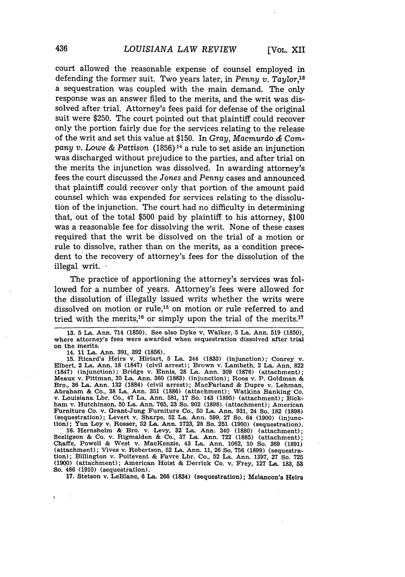court allowed the reasonable expense of counsel employed in defending the former suit. Two years later, in *Penny v. Taylor,18* a sequestration was coupled with the main demand. The only response was an answer filed to the merits, and the writ was dissolved after trial. Attorney's fees paid for defense of the original suit were \$250. The court pointed out that plaintiff could recover only the portion fairly due for the services relating to the release of the writ and set this value at \$150. In *Gray, Macmurdo* **&** *Company v. Lowe & Pattison* (1856) 14 a rule to set aside an injunction was discharged without prejudice to the parties, and after trial on the merits the injunction was dissolved. In awarding attorney's fees the court discussed the *Jones* and *Penny* cases and announced that plaintiff could recover only that portion of the amount paid counsel which was expended for services relating to the dissolution of the injunction. The court had no difficulty in determining that, out of the total \$500 paid by plaintiff to his attorney, \$100 was a reasonable fee for dissolving the writ. None of these cases required that the writ be dissolved on the trial of a motion or rule to dissolve, rather than on the merits, as a condition precedent to the recovery of attorney's fees for the dissolution of the illegal writ.

The practice of apportioning the attorney's services was followed for a number of years. Attorney's fees were allowed for the dissolution of illegally issued writs whether the writs were dissolved on motion or rule,<sup>15</sup> on motion or rule referred to and tried with the merits,<sup>16</sup> or simply upon the trial of the merits.<sup>17</sup>

14. **11** La. Ann. 391, 392 (1856).

15. Ricard's Heirs v. Hiriart, 5 La. 244 (1833) (injunction); Conrey v. Elbert, 2 La. Ann. 18 (1847) (civil arrest); Brown v. Lambeth, 2 La. Ann. 822 (1847) (injunction); Bridge v. Ennis, 28 La. Ann. 309 (1876) (attachment); Meaux v. Pittman, 35 La. Ann. 360 (1883) (injunction); Roos v. P. Goldman & Bro., 36 La. Ann. 132 (1884) (civil arrest); MacFarland & Dupre v. Lehman, Abraham & Co., 38 La. Ann. 351 (1886) (attachment); Watkins Banking Co. v. Louisiana Lbr. Co,, 47 La. Ann. 581, 17 So. 143 (1895) (attachment); Bickham v. Hutchinson, 50 La. Ann. 765, 23 So. 902 (1898) (attachment); American Furniture Co. v. Grant-Jung Furniture Co., 50 La. Ann. 931, 24 So. 182 (1898) (sequestration); Levert v. Sharpe, 52 La. Ann. 599, 27 So. 64 (1900) (injunction); Yun Loy v. Rosser, **52** La. Ann. **1723,** 28 So. **251** (1900) (sequestration).

**16.** Hernsheim **&** Bro. v. Levy, **32** La. Ann. 340 **(1880)** (attachment); Seeligson **&** Co. v. Rigmaiden **&** Co., **37** La. Ann. **722 (1885)** (attachment); Chaff e, Powell **&** West v. MacKenzie, 43 La. Ann. **1062, 10** So. **369 (1891)** (attachment); Vives v. Robertson, **52** La. Ann. **11, 26** So. **756 (1899)** (sequestration); Billington v. Poitevent **&** Favre Lbr. Co., **52** La. Ann. **1397, 27** So. **725 (1900)** (attachment); American Hoist **&** Derrick Co. v. Frey, **127** La. **183, 53** So. 486 **(1910)** (sequestration).

**17.** Stetson v. LeBlanc, **6** La. **266** (1834) (sequestration); Melancon's Heirs

<sup>13. 5</sup> La. Ann. 714 (1850). See also Dyke v. Walker, 5 La. Ann. 519 (1850), where attorney's fees were awarded when sequestration dissolved after trial on the merits.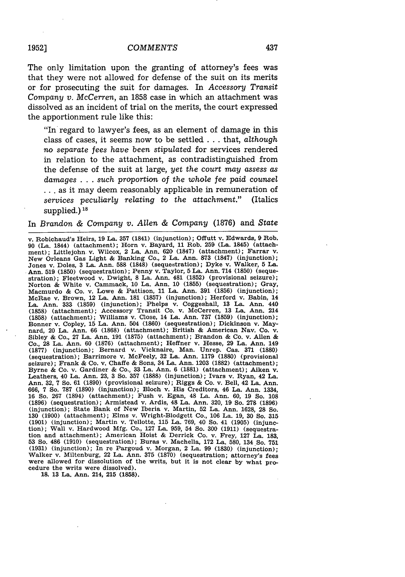The only limitation upon the granting of attorney's fees was that they were not allowed for defense of the suit on its merits or for prosecuting the suit for damages. In *Accessory Transit Company v. McCerren,* an 1858 case in which an attachment was dissolved as an incident of trial on the merits, the court expressed the apportionment rule like this:

"In regard to lawyer's fees, as an element of damage in this class of cases, it seems now to be settled **...** that, *although no separate fees have been stipulated* for services rendered in relation to the attachment, as contradistinguished from the defense of the suit at large, *yet the* court *may assess as damages* . *.* . *such proportion of the whole* fee *paid* counsel **..** as it may deem reasonably applicable in remuneration of *services peculiarly relating to the attachment."* (Italics supplied.)<sup>18</sup>

In *Brandon & Company v. Allen & Company* (1876) and *State*

v. Robichaud's Heirs, 19 La. 357 (1841) (injunction); Offutt v. Edwards, 9 Rob. 90 (La. 1844) (attachment); Horn v. Bayard, 11 Rob. 259 (La. 1845) (attachment); Littlejohn v. Wilcox, 2 La. Ann. **620** (1847) (attachment); Farrar v. New Orleans Gas Light & Banking Co., 2 La. Ann. 873 (1847) (injunction); Jones v. Doles, 3 La. Ann. 588 (1848) (sequestration); Dyke v. Walker, 5 La. Ann. 519 (1850) (sequestration); Penny v. Taylor, 5 La. Ann. 714 (1850) (sequestration); Fleetwood v. Dwight, 8 La. Ann. 481 (1852) (provisional seizure); Norton & White v. Cammack, 10 La. Ann. 10 (1855) (sequestration); Gray, Macmurdo & Co. v. Lowe & Pattison, 11 La. Ann. 391 (1856) (injunction); McRae v. Brown, 12 La. Ann. 181 (1857) (injunction); Herford v. Babin, 14 La. Ann. **333** (1859) (injunction); Phelps v. Coggeshall, 13 La. Ann. 440 (1858) (attachment); Accessory Transit Co. v. McCerren, 13 La. Ann. 214 (1858) (attachment); Williams v. Close, 14 La. Ann. 737 (1859) (injunction); Bonner v. Copley, 15 La. Ann. 504 (1860) (sequestration); Dickinson v. May-nard, 20 La. Ann. 66 (1868) (attachment); British & American Nay. **Co.** v. Sibley & Co., 27 La. Ann. 191 (1875) (attachment); Brandon & Co. v. Allen & Co., 28 La. Ann. 60 (1876) (attachment); Heffner v. Hesse, 29 La. Ann. 149 (1877) (injunction); Bernard v. Vicknaire, Man. Unrep. Cas. 371 (1880) (sequestration); Barrimore v. McFeely, 32 La. Ann. 1179 (1880) (provisional seizure); Frank & Co. v. Chaffe & Sons, 34 La. Ann. 1203 (1882) (attachment); Byrne & Co. v. Gardiner & Co., **33** La. Ann. **6** (1881) (attachment); Aiken v. Leathers, 40 La. Ann. **23, 3** So. **357 (1888)** (injunction); Ivars v. Ryan, 42 La. Ann. **32, 7** So. **61 (1890)** (provisional seizure); Riggs **&** Co. v. Bell, 42 La. Ann. **666, 7** So. **787 (1890)** (injunction); Bloch v. His Creditors, 46 La. Ann. 1334, **16** So. **267** (1894) (attachment); Fush v. Egan, 48 La. Ann. **60, 19** So. **108 (1896)** (sequestration); Armistead v. Ardis, 48 La. Ann. **320, 19** So. **278 (1896)** (injunction); State Bank of New Iberia v. Martin, 52 La. Ann. 1628, 28 So.<br>130 (1900) (attachment); Elms v. Wright-Blodgett Co., 106 La. 19, 30 So. 315<br>(1901) (injunction); Martin v. Tellotte, 115 La. 769, 40 So. 41 (1905) tion); Wall v. Hardwood **Mfg.** Co., **127** La. **959,** 54 So. **300 (1911)** (sequestration and attachment); American Hoist **&** Derrick Co. v. Frey, **127** La. **183, 53** So. 486 **(1910)** (sequestration); Buras v. Machella, **172** La. **580,** 134 So. **751 (1931)** (injunction); In re Pargoud v. Morgan, 2 La. **99 (1830)** (injunction); Walker v. Miltenburg, 22 La. Ann. **375 (1870)** (sequestration; attorney's fees were allowed for dissolution of the writs, but it is not clear **by** what procedure the writs were dissolved).

**18. 13** La. Ann. 214, **215 (1858).**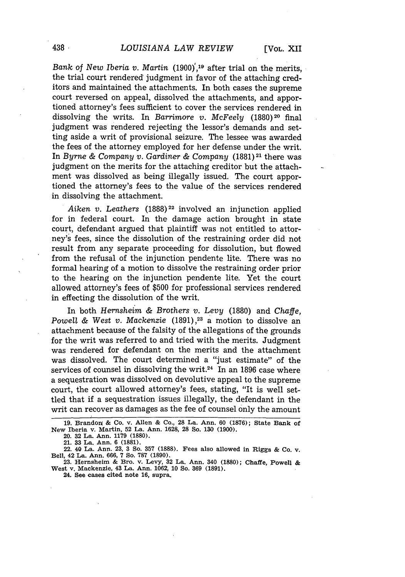*Bank of New Iberia v. Martin* (1900)<sup>'19</sup> after trial on the merits, the trial court rendered' judgment in favor of the attaching creditors and maintained the attachments. In both cases the supreme court reversed on appeal, dissolved the attachments, and apportioned attorney's fees sufficient to cover the services rendered in dissolving the writs. In *Barrimore v. McFeely* (1880)<sup>20</sup> final judgment was rendered rejecting the lessor's demands and setting aside a writ of provisional seizure. The lessee was awarded the fees of the attorney employed for her defense under the writ. In *Byrne & Company v. Gardiner & Company* (1881)<sup>21</sup> there was judgment on the merits for the attaching creditor but the attachment was dissolved as being illegally issued. The court apportioned the attorney's fees to the value of the services rendered in dissolving the attachment.

*Aiken v. Leathers* (1888)<sup>22</sup> involved an injunction applied for in federal court. In the damage action brought in state court, defendant argued that plaintiff was not entitled to attorney's fees, since the dissolution of the restraining order did not result from any separate proceeding for dissolution, but flowed from the refusal of the injunction pendente lite. There was no formal hearing of a motion to dissolve the restraining order prior to the hearing on the injunction pendente lite. Yet the court allowed attorney's fees of \$500 for professional services rendered in effecting the dissolution of the writ.

In both *Hernsheim & Brothers v. Levy* (1880) and *Chaffe*, *Powell & West v. Mackenzie* (1891) *,23* a motion to dissolve an attachment because of the falsity of the allegations of the grounds for the writ was referred to and tried with the merits. Judgment was rendered for defendant on the merits and the attachment was dissolved. The court determined a "just estimate" of the services of counsel in dissolving the writ.<sup>24</sup> In an 1896 case where a sequestration was dissolved on devolutive appeal to the supreme court, the court allowed attorney's fees, stating, "It is well settled that if a sequestration issues illegally, the defendant in the writ can recover as damages as the fee of counsel only the amount

<sup>19.</sup> Brandon & Co. v. Allen & Co., 28 La. Ann. 60 (1876); State Bank of **New** Iberia v. **Martin, 52 La. Ann. 1628, 28** So. **130 (1900).**

**<sup>20. 32</sup> La. Ann. 1179 (1880).**

**<sup>21. 33</sup> La. Ann. 6 (1881).**

**<sup>22. 40</sup> La. Ann. 23, 3 So. 357 (1888). Fees also allowed in Riggs & Co. v. Bell, 42 La. Ann. 666, 7 So. 787 (1890).**

**<sup>23.</sup> Hernsheim & Bro. v. Levy, 32 La. Ann. 340 (1880); Chaffe, Powell & West v. Mackenzie, 43 La. Ann. 1062, 10 So. 369 (1891).**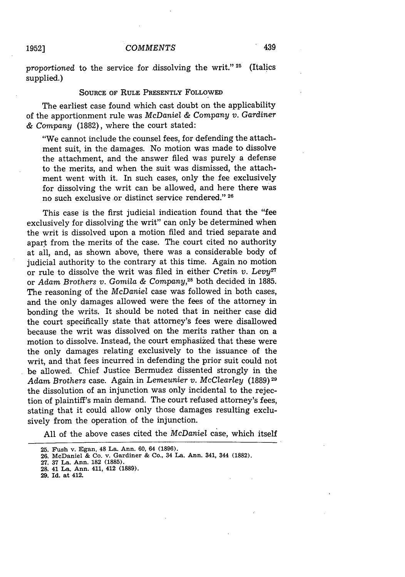*proportioned* to the service for dissolving the writ." **25** (Italics supplied.)

#### **SOURCE** OF RULE PRESENTLY FOLLOWED

The earliest case found which cast doubt on the applicability of the apportionment rule was *McDaniel & Company v. Gardiner & Company* (1882), where the court stated:

"We cannot include the counsel fees, for defending the attachment suit, in the damages. No motion was made to dissolve the attachment, and the answer filed was purely a defense to the merits, and when the suit was dismissed, the attachment went with it. In such cases, only the fee exclusively for dissolving the writ can be allowed, and here there was no such exclusive **.or** distinct service rendered." **<sup>26</sup>**

This case is the first judicial indication found that the "fee exclusively for dissolving the writ" can only be determined when the writ is dissolved upon a motion filed and tried separate and apart from the merits of the case. The court cited no authority at all, and, as shown above, there was a considerable body of judicial authority to the contrary at this time. Again no motion or rule to dissolve the writ was filed in either *Cretin v. Levy2* or *Adam Brothers v. Gomila & Company,2 <sup>8</sup>*both decided in 1885. The reasoning of the *McDaniel* case was followed in both cases, and the only damages allowed were the fees of the attorney in bonding the writs. It should be noted that in neither case did the court specifically state that attorney's fees were disallowed because the writ was dissolved on the merits rather than on a motion to dissolve. Instead, the court emphasized that these were the only damages relating exclusively to the issuance of the writ, and that fees incurred in defending the prior suit could not be allowed. Chief Justice Bermudez dissented strongly in the *Adam Brothers* case. Again in *Lemeunier v. McClearley* (1889)29 the dissolution of an injunction was only incidental to the rejection of plaintiff's main demand. The court refused attorney's fees, stating that it could allow only those damages resulting exclusively from the operation of the injunction.

All of the above cases cited the *McDaniel* case, which itself

**<sup>25.</sup> Fush v. Egan, 48 La.** Ann. **60, 64 (1896).**

**<sup>26.</sup> McDaniel & Co. v. Gardiner & Co., 34 La. Ann. 341, 344 (1882).**

**<sup>27. 37</sup> La. Ann. 182 (1885).**

**<sup>28. 41</sup> La. Ann. 411, 412 (1889).**

**<sup>29.</sup> Id. at 412.**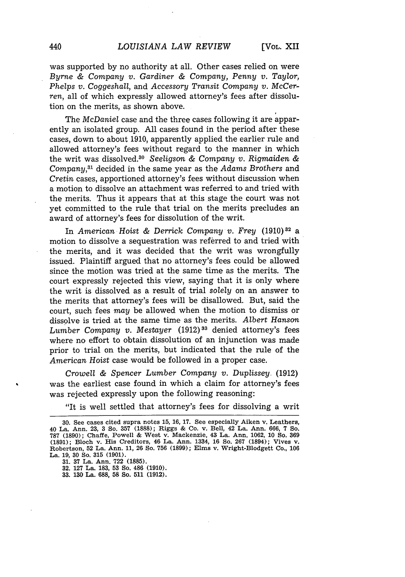was supported by no authority at all. Other cases relied on were *Byrne & Company v. Gardiner & Company, Penny v. Taylor, Phelps v. Coggeshall, and Accessory Transit Company v. McCer*ren, all of which expressly allowed attorney's fees after dissolution on the merits, as shown above.

The *McDaniel* case and the three cases following it are apparently an isolated group. All cases found in the period after these cases, down to about 1910, apparently applied the earlier rule and allowed attorney's fees without regard to the manner in which the writ was dissolved.80 *Seeligson & Company v. Rigmaiden & Company,8 <sup>1</sup>*decided in the same year as the *Adams Brothers* and *Cretin* cases, apportioned attorney's fees without discussion when a motion to dissolve an attachment was referred to and tried with the merits. Thus it appears that at this stage the court was not yet committed to the rule that trial on the merits precludes an award of attorney's fees for dissolution of the writ.

In *American Hoist & Derrick Company v. Frey* (1910)<sup>32</sup> a motion to dissolve a sequestration was referred to and tried with the merits, and it was decided that the writ was wrongfully issued. Plaintiff argued that no attorney's fees could be allowed since the motion was tried at the same time as the merits. The court expressly rejected this view, saying that it is only where the writ is dissolved as a result of trial *solely* on an answer to the merits that attorney's fees will be disallowed. But, said the court, such fees *may* be allowed when the motion to dismiss or dissolve is tried at the same time as the merits. *Albert Hanson Lumber Company v. Mestayer* (1912)<sup>33</sup> denied attorney's fees where no effort to obtain dissolution of an injunction was made prior to trial on the merits, but indicated that the rule of the *American Hoist* case would be followed in a proper case.

*Crow-ell & Spencer Lumber Company v. Duplissey.* (1912) was the earliest case found in which a claim for attorney's fees was rejected expressly upon the following reasoning:

"It is well settled that attorney's fees for dissolving a writ

**31. 37 La. Ann. 722 (1885).**

**33. 130 La. 688, 58 So. 511 (1912).**

**<sup>30.</sup>** See cases cited supra notes **15, 16, 17.** See especially Aiken v. Leathers, 40 **La.** Ann. **23, 3** So. **357 (1888);** Riggs **&** Co. v. Bell, 42 **La.** Ann. **666, 7 So. 787 (1890);** Chaffe, Powell **&** West v. Mackenzie, **43** La. Ann. **1062, 10** So. **369 (1891);** Bloch v. His Creditors, 46 **La.** Ann. 1334, **16** So. **267** (1894); Vives v. Robertson, **52** La. Ann. **11, 26** So. **756 (1899);** Elms v. Wright-Blodgett Co., **106 La. 19, 30** So. **315 (1901).**

**<sup>32. 127</sup> La. 183, 53 So. 486 (1910).**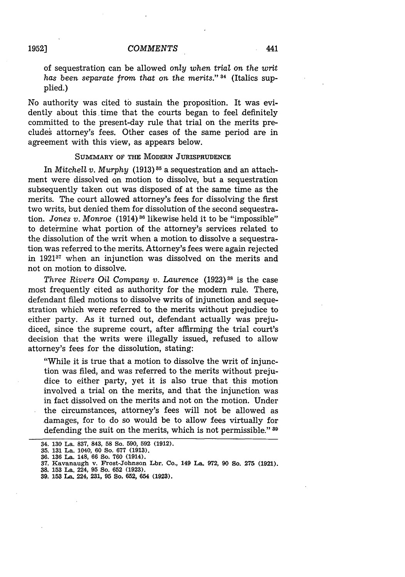**1952]**

of sequestration can be allowed *only when trial on the writ has been separate from that* on the *merits."* 34 (Italics supplied.)

No authority was cited to sustain the proposition. It was evidently about this time that the courts began to feel definitely committed to the present-day rule that trial on the merits precludes attorney's fees. Other cases of the same period are in agreement with this view, as appears below.

### **SUMMARY OF THE MODERN JURISPRUDENCE**

In *Mitchell v. Murphy* (1913) **85** a sequestration and an attachment were dissolved on motion to dissolve, but a sequestration subsequently taken out was disposed of at the same time as the merits. The court allowed attorney's fees for dissolving the first two writs, but denied them for dissolution of the second sequestration. *Jones v. Monroe* (1914) **36** likewise held it to be "impossible" to determine what portion of the attorney's services related to the dissolution of the writ when a motion to dissolve a sequestration was referred to the merits. Attorney's fees were again rejected in 1921<sup>37</sup> when an injunction was dissolved on the merits and not on motion to dissolve.

*Three Rivers Oil Company v. Laurence* (1923) **<sup>8</sup>**is the case most frequently cited as authority for the modern rule. There, defendant filed motions to dissolve writs of injunction and sequestration which were referred to the merits without prejudice to either party. As it turned out, defendant actually was prejudiced, since the supreme court, after affirming the trial court's decision that the writs were illegally issued, refused to allow attorney's fees for the dissolution, stating:

"While it is true that a motion to dissolve the writ of injunction was filed, and was referred to the merits without prejudice to either party, yet it is also true that this motion involved a trial on the merits, and that the injunction was in fact dissolved on the merits and not on the motion. Under the circumstances, attorney's fees will not be allowed as damages, for to do so would be to allow fees virtually for defending the suit on the merits, which is not permissible." **8**

<sup>34.</sup> **130** La. **837,** 843, **58 So. 590, 592 (1912).**

**<sup>35. 131</sup>** La. 1040, **60** So. **677 (1913).**

**<sup>36. 136</sup> La.** 148, **66 So. 760 (1914).**

**<sup>37.</sup> Kavanaugh v. Frost-Johnson Lbr. Co., 149 La. 972, 90 So. 275 (1921).**

**<sup>38. 153</sup> La. 224, 95 So. 652 (1923). 39. 153 La.** 224, **231, 95 So. 652,** 654 **(1923).**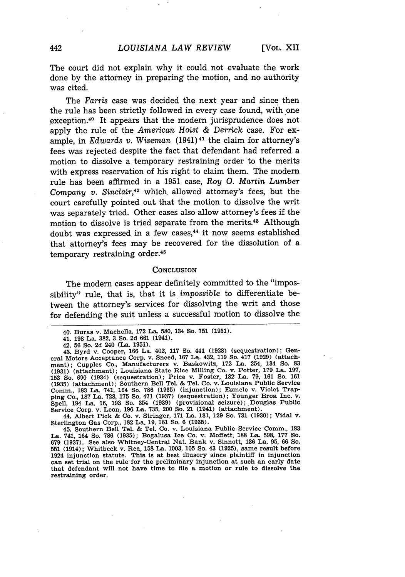The court did not explain why it could not evaluate the work done by the attorney in preparing the motion, and no authority was cited.

The *Farris* case was decided the next year and since then the rule has been strictly followed in every case found, with one exception.<sup>40</sup> It appears that the modern jurisprudence does not apply the rule of the *American Hoist & Derrick* case. For example, in *Edwards v. Wiseman* (1941)<sup>41</sup> the claim for attorney's fees was rejected despite the fact that defendant had referred a motion to dissolve a temporary restraining order to the merits with express reservation of his right to claim them. The modern rule has been affirmed in a 1951 case, *Roy 0. Martin Lumber Company v. Sinclair,42* which, allowed attorney's fees, but the court carefully pointed out that the motion to dissolve the writ was separately tried. Other cases also allow attorney's fees if the motion to dissolve is tried separate from the merits.43 Although doubt was expressed in a few cases,<sup>44</sup> it now seems established that attorney's fees may be recovered for the dissolution of a temporary restraining order.<sup>45</sup>

#### **CONCLUSION**

The modern cases appear definitely committed to the "impossibility" rule, that is, that it is impossible to differentiate between the attorney's services for dissolving the writ and those for defending the suit unless a successful motion to dissolve the

44. Albert Pick **& Co.** v. Stringer, **171** La. **131, 129** So. **731 (1930);** Vidal v. Sterlington Gas Corp., **182** La. **19, 161** So. **6 (1935).**

45. Southern Bell Tel. **&** Tel. Co. v. Louisiana Public Service Comm., **183** La. 741, 164 So. **786 (1935);** Bogalusa Ice Co. v. Moffett, **188** La. **598, 177** So. **679 (1937).** See also Whitney-Central Nat. Bank v. Sinnott, **136** La. **95, 66** So. **<sup>551</sup>**(1914); Whitbeck v. Rea, **158** La. **1003, 105** So. 43 **(1925),** same result before 1924 injunction statute. This is at best illusory since plaintiff in injunction can set trial on the rule for the preliminary injunction at such an early date that defendant will not have time to file a motion or rule to dissolve the restraining order.

<sup>40.</sup> Buras v. Machella, **172** La. **580,** 134 So. **751 (1931).**

<sup>41.</sup> **198** La. **382,** 3 So. **2d 661** (1941).

<sup>42.</sup> **56** So. **2d** 240 (La. **1951).**

<sup>43.</sup> Byrd v. Cooper, **166** La. 402, **117** So. 441 **(1928)** (sequestration); Gen-eral Motors Acceptance Corp. v. Sneed, **167** La. 432, **119** So. 417 **(1929)** (attachment); Cupples Co., Manufacturers v. Baskowitz, 172 La. 254, 134 So. 83<br>(1931) (attachment); Louisiana State Rice Milling Co. v. Potter, 179 La. 197,<br>153 So. 690 (1934) (sequestration); Price v. Foster, 182 La. 79, 161 So. Comm., **183** La. 741, 164 So. **786 (1935)** (injunction); Esmele v. Violet Trap-ping Co., **187** La. **728, 175** So. 471 **(1937)** (sequestration); Younger Bros. Inc. v. Spell, 194 La. **16, 193** So. 354 **(1939)** (provisional seizure); Douglas Public Service Corp. v. Leon, **196** La. **735,** 200 So. **21** (1941) (attachment).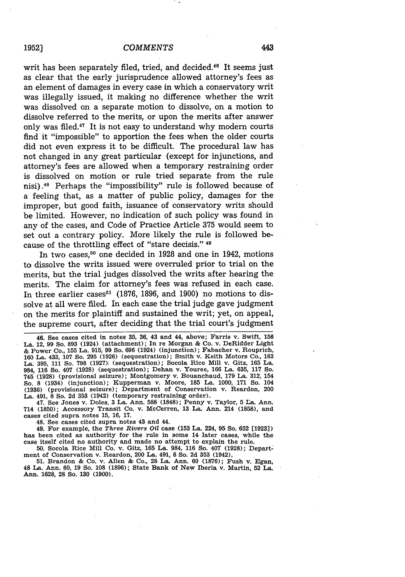writ has been separately filed, tried, and decided.<sup>46</sup> It seems just as clear that the early jurisprudence allowed attorney's fees as an element of damages in every case in which a conservatory writ was illegally issued, it making no difference whether the writ was dissolved on a separate motion to dissolve, on a motion to dissolve referred to the merits, or upon the merits after answer only was filed.47 It is not easy to understand why modern courts find it "impossible" to apportion the fees when the older courts did not even express it to be difficult. The procedural law has not changed in any great particular (except for injunctions, and attorney's fees are allowed when a temporary restraining order is dissolved on motion or rule tried separate from the rule nisi) .48 Perhaps the "impossibility" rule is followed because of a feeling that, as a matter of public policy, damages for the improper, but good faith, issuance of conservatory writs should be limited. However, no indication of such policy was found in any of the cases, and Code of Practice Article 375 would seem to set out a contrary policy. More likely the rule is followed because of the throttling effect of "stare decisis." 49

In two cases,<sup>50</sup> one decided in 1928 and one in 1942, motions to dissolve the writs issued were overruled prior to trial on the merits, but the trial judges dissolved the writs after hearing the merits. The claim for attorney's fees was refused in each case. In three earlier cases<sup> $51$ </sup> (1876, 1896, and 1900) no motions to dissolve at all were filed. In each case the trial judge gave judgment on the merits for plaintiff and sustained the writ; yet, on appeal, the supreme court, after deciding that the trial court's judgment

46. See cases cited in notes 35, 36, 43 and 44, above; Farris v. Swift, 156 La. 12, 99 So. 893 (1924) (attachment); In re Morgan & Co. v. DeRidder Light & Power Co., 155 La. 915, 99 So. 696 (1924) (injunction); Fabacher v. Rouprich, 160 La. 433, 107 So. 295 (1926) (sequestration); Smith v. Keith Motors Co., 163 La. 395, 111 So. 798 (1927) (sequestration); Socola Rice Mill v. Gitz, 165 La. 984, 116 So. 407 (1928) (sequestration); Dehan v. Youree, 166 La. 635, 117 So. 745 (1928) (provisional seizure); Montgomery v. Bouanchaud, **179** La. 312, 154 So. 8 (1934) (injunction); Kupperman v. Moore, 185 La. 1000, 171 So. 104 (1936) (provisional seizure); Department of Conservation v. Reardon, 200 La. 491, 8 So. 2d 353 (1942) (temporary restraining order).

47. See Jones v. Doles, 3 La. Ann. 588 (1848); Penny v. Taylor, 5 La. Ann. 714 (1850); Accessory Transit Co. v. McCerren, **13** La. Ann. 214 (1858), and cases cited supra notes 15, 16, 17.

48. See cases cited supra notes 43 and 44.

49. For example, the *Three Rivers Oil* case (153 La. 224, 95 So. 652 [1923]) has been cited as authority for the rule in some 14 later cases, while the case itself cited no authority and made no attempt to explain the rule.

50. Socola Rice Mill Co. v. Gitz, 165 La. 984, 116 So. 407 (1928); Department of Conservation v. Reardon, 200 La. 491, 8 So. 2d 353 (1942).<br>51. Brandon & Co. v. Allen & Co., 28 La. Ann. 60 (1876); Fush v. Egan,

48 La. Ann. 60, 19 So. 108 (1896); State Bank of New Iberia v. Martin, 52 La. **Ann. 1628, 28** So. **130 (1900).**

443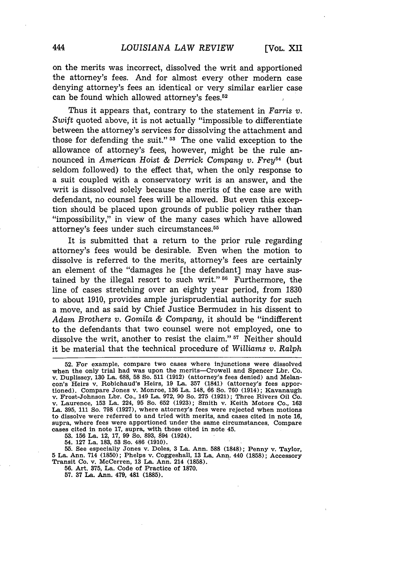on the merits was incorrect, dissolved the writ and apportioned the attorney's fees. And for almost every other modern case denying attorney's fees an identical or very similar earlier case can be found which allowed attorney's fees.52

Thus it appears that, contrary to the statement in *Farris v. Swift* quoted above, it is not actually "impossible to differentiate between the attorney's services for dissolving the attachment and those for defending the suit." **53** The one valid exception to the allowance of attorney's fees, however, might be the rule announced in *American Hoist & Derrick Company v. Frey54* (but seldom followed) to the effect that, when the only response to a suit coupled with a conservatory writ is an answer, and the writ is dissolved solely because the merits of the case are with defendant, no counsel fees will be allowed. But even this exception should be placed upon grounds of public policy rather than "impossibility," in view of the many cases which have allowed attorney's fees under such circumstances. <sup>55</sup>

It is submitted that a return to the prior rule regarding attorney's fees would be desirable. Even when the motion to dissolve is referred to the merits, attorney's fees are certainly an element of the "damages he [the defendant] may have sustained by the illegal resort to such writ." **56** Furthermore, the line of cases stretching over an eighty year period, from 1830 to about 1910, provides ample jurisprudential authority for such a move, and as said by Chief Justice Bermudez in his dissent to *Adam Brothers v. Gomila & Company,* it should be "indifferent to the defendants that two counsel were not employed, one to dissolve the writ, another to resist the claim." **57** Neither should it be material that the technical procedure of *Williams v. Ralph*

**53. 156** La. 12, **17, 99** So. 893, 894 (1924).

54. 127 La. 183, 53 So. 486 (1910).

55. See especially Jones v. Doles, 3 La. Ann. **588** (1848); Penny v. Taylor, 5 La. Ann. 714 (1850); Phelps v. Coggeshall, **13** La. Ann. 440 (1858); Accessory Transit Co. v. McCerren, 13 La. Ann. 214 (1858).

56. Art. 375, La. Code of Practice of 1870.

**57. 37** La. Ann. 479, 481 **(1885).**

**<sup>52.</sup>** For example, compare two cases where injunctions were dissolved when the only trial had was upon the merits-Crowell and Spencer Lbr. Co. v. Duplissey, **130** La. 688, 58 So. **511 (1912)** (attorney's fees denied) and Melancon's Heirs v. Robichaud's Heirs, 19 La. 357 (1841) (attorney's fees apportioned). Compare Jones v. Monroe, 136 La. 148, 66 So. 760 (1914); Kavanaugh tioned). Compare Jones v. Monroe, 136 La. 148, 66 So. 760 (1914); Kavanaugh v. Frost-Johnson Lbr. Co., 149 La. 972, **90** So. 275 (1921); Three Rivers Oil Co. v. Laurence, 153 La. 224, 95 So. 652 (1923); Smith v. Keith Motors Co., 163 La. 395, 111 So. 798 (1927), where attorney's fees were rejected when motions to dissolve were referred to and tried with merits, and cases cited in note 16, supra, where fees were apportioned under the same circumstances. Compare cases cited in note 17, supra, with those cited in note 45.